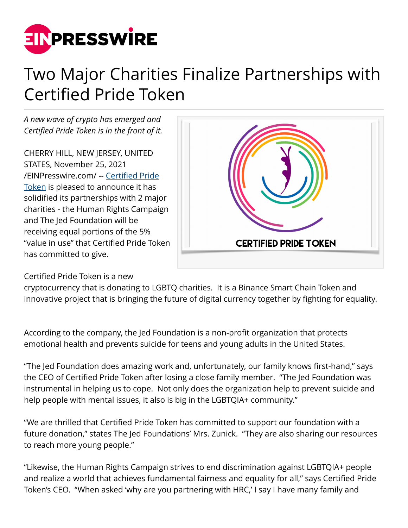

## Two Major Charities Finalize Partnerships with Certified Pride Token

*A new wave of crypto has emerged and Certified Pride Token is in the front of it.*

CHERRY HILL, NEW JERSEY, UNITED STATES, November 25, 2021 [/EINPresswire.com/](http://www.einpresswire.com) -- [Certified Pride](https://www.certifiedpride.org/) [Token](https://www.certifiedpride.org/) is pleased to announce it has solidified its partnerships with 2 major charities - the Human Rights Campaign and The Jed Foundation will be receiving equal portions of the 5% "value in use" that Certified Pride Token has committed to give.



Certified Pride Token is a new

cryptocurrency that is donating to LGBTQ charities. It is a Binance Smart Chain Token and innovative project that is bringing the future of digital currency together by fighting for equality.

According to the company, the Jed Foundation is a non-profit organization that protects emotional health and prevents suicide for teens and young adults in the United States.

"The Jed Foundation does amazing work and, unfortunately, our family knows first-hand," says the CEO of Certified Pride Token after losing a close family member. "The Jed Foundation was instrumental in helping us to cope. Not only does the organization help to prevent suicide and help people with mental issues, it also is big in the LGBTQIA+ community."

"We are thrilled that Certified Pride Token has committed to support our foundation with a future donation," states The Jed Foundations' Mrs. Zunick. "They are also sharing our resources to reach more young people."

"Likewise, the Human Rights Campaign strives to end discrimination against LGBTQIA+ people and realize a world that achieves fundamental fairness and equality for all," says Certified Pride Token's CEO. "When asked 'why are you partnering with HRC,' I say I have many family and